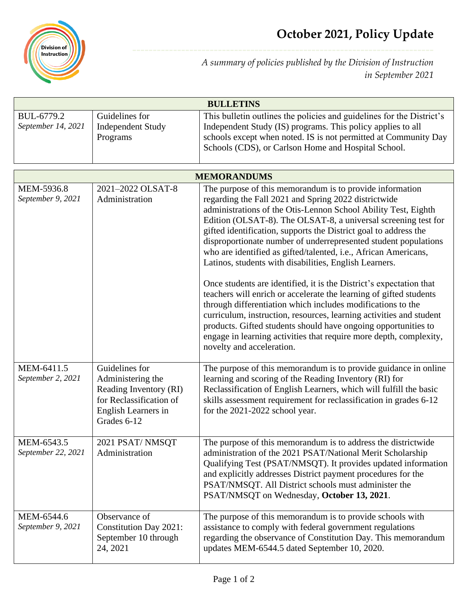

*A summary of policies published by the Division of Instruction in September 2021*

| <b>BULLETINS</b>                 |                                                                                                                                |                                                                                                                                                                                                                                                                                                                                                                                                                                                                                                                                                                                                                                                                                                                                                                                                                                                                                                                                                                                  |  |
|----------------------------------|--------------------------------------------------------------------------------------------------------------------------------|----------------------------------------------------------------------------------------------------------------------------------------------------------------------------------------------------------------------------------------------------------------------------------------------------------------------------------------------------------------------------------------------------------------------------------------------------------------------------------------------------------------------------------------------------------------------------------------------------------------------------------------------------------------------------------------------------------------------------------------------------------------------------------------------------------------------------------------------------------------------------------------------------------------------------------------------------------------------------------|--|
| BUL-6779.2<br>September 14, 2021 | Guidelines for<br><b>Independent Study</b><br>Programs                                                                         | This bulletin outlines the policies and guidelines for the District's<br>Independent Study (IS) programs. This policy applies to all<br>schools except when noted. IS is not permitted at Community Day<br>Schools (CDS), or Carlson Home and Hospital School.                                                                                                                                                                                                                                                                                                                                                                                                                                                                                                                                                                                                                                                                                                                   |  |
| <b>MEMORANDUMS</b>               |                                                                                                                                |                                                                                                                                                                                                                                                                                                                                                                                                                                                                                                                                                                                                                                                                                                                                                                                                                                                                                                                                                                                  |  |
| MEM-5936.8<br>September 9, 2021  | 2021-2022 OLSAT-8<br>Administration                                                                                            | The purpose of this memorandum is to provide information<br>regarding the Fall 2021 and Spring 2022 districtwide<br>administrations of the Otis-Lennon School Ability Test, Eighth<br>Edition (OLSAT-8). The OLSAT-8, a universal screening test for<br>gifted identification, supports the District goal to address the<br>disproportionate number of underrepresented student populations<br>who are identified as gifted/talented, i.e., African Americans,<br>Latinos, students with disabilities, English Learners.<br>Once students are identified, it is the District's expectation that<br>teachers will enrich or accelerate the learning of gifted students<br>through differentiation which includes modifications to the<br>curriculum, instruction, resources, learning activities and student<br>products. Gifted students should have ongoing opportunities to<br>engage in learning activities that require more depth, complexity,<br>novelty and acceleration. |  |
| MEM-6411.5<br>September 2, 2021  | Guidelines for<br>Administering the<br>Reading Inventory (RI)<br>for Reclassification of<br>English Learners in<br>Grades 6-12 | The purpose of this memorandum is to provide guidance in online<br>learning and scoring of the Reading Inventory (RI) for<br>Reclassification of English Learners, which will fulfill the basic<br>skills assessment requirement for reclassification in grades 6-12<br>for the 2021-2022 school year.                                                                                                                                                                                                                                                                                                                                                                                                                                                                                                                                                                                                                                                                           |  |
| MEM-6543.5<br>September 22, 2021 | 2021 PSAT/NMSQT<br>Administration                                                                                              | The purpose of this memorandum is to address the districtwide<br>administration of the 2021 PSAT/National Merit Scholarship<br>Qualifying Test (PSAT/NMSQT). It provides updated information<br>and explicitly addresses District payment procedures for the<br>PSAT/NMSQT. All District schools must administer the<br>PSAT/NMSQT on Wednesday, October 13, 2021.                                                                                                                                                                                                                                                                                                                                                                                                                                                                                                                                                                                                               |  |
| MEM-6544.6<br>September 9, 2021  | Observance of<br><b>Constitution Day 2021:</b><br>September 10 through<br>24, 2021                                             | The purpose of this memorandum is to provide schools with<br>assistance to comply with federal government regulations<br>regarding the observance of Constitution Day. This memorandum<br>updates MEM-6544.5 dated September 10, 2020.                                                                                                                                                                                                                                                                                                                                                                                                                                                                                                                                                                                                                                                                                                                                           |  |